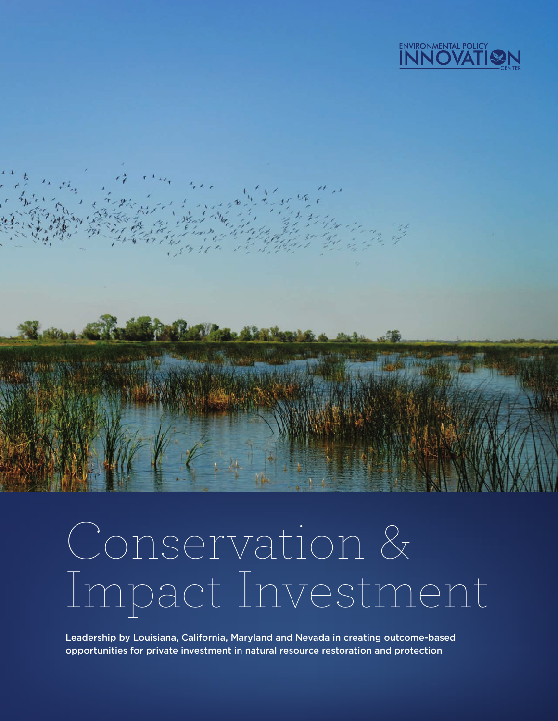

# Conservation & Impact Investment

Leadership by Louisiana, California, Maryland and Nevada in creating outcome-based opportunities for private investment in natural resource restoration and protection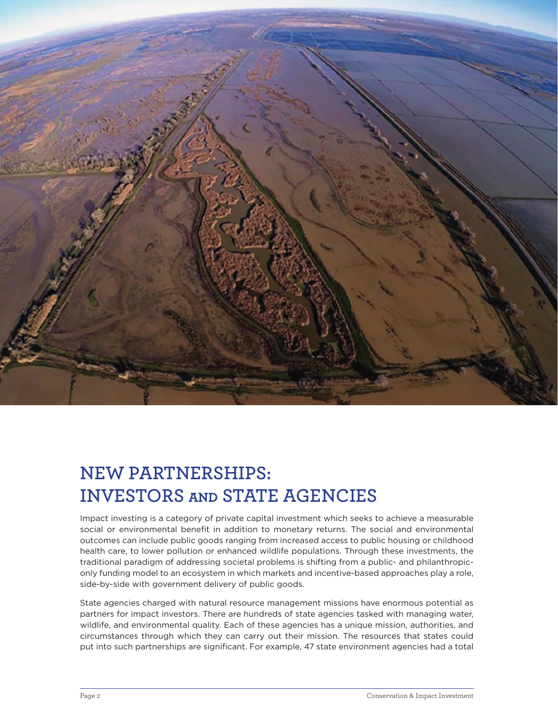

## **NEW PARTNERSHIPS: INVESTORS AND STATE AGENCIES**

Impact investing is a category of private capital investment which seeks to achieve a measurable social or environmental benefit in addition to monetary returns. The social and environmental outcomes can include public goods ranging from increased access to public housing or childhood health care, to lower pollution or enhanced wildlife populations. Through these investments, the traditional paradigm of addressing societal problems is shifting from a public- and philanthropiconly funding model to an ecosystem in which markets and incentive-based approaches play a role, side-by-side with government delivery of public goods.

State agencies charged with natural resource management missions have enormous potential as partners for impact investors. There are hundreds of state agencies tasked with managing water, wildlife, and environmental quality. Each of these agencies has a unique mission, authorities, and circumstances through which they can carry out their mission. The resources that states could put into such partnerships are significant. For example, 47 state environment agencies had a total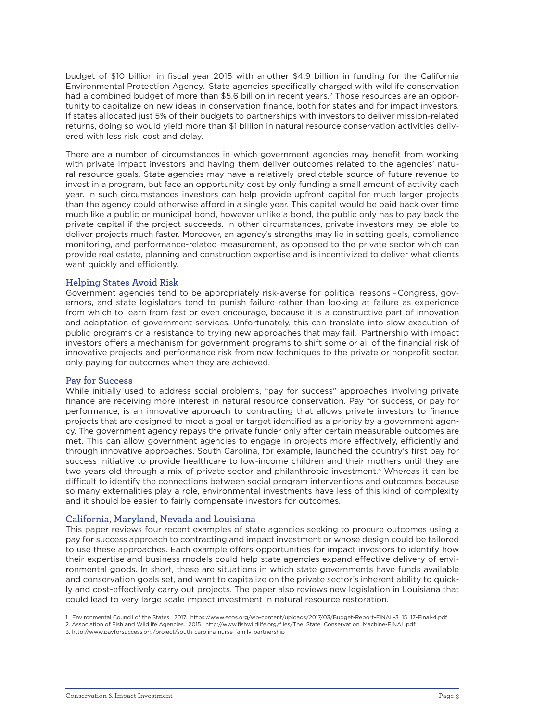budget of \$10 billion in fiscal year 2015 with another \$4.9 billion in funding for the California Environmental Protection Agency.<sup>1</sup> State agencies specifically charged with wildlife conservation had a combined budget of more than \$5.6 billion in recent years.<sup>2</sup> Those resources are an opportunity to capitalize on new ideas in conservation finance, both for states and for impact investors. If states allocated just 5% of their budgets to partnerships with investors to deliver mission-related returns, doing so would yield more than \$1 billion in natural resource conservation activities delivered with less risk, cost and delay.

There are a number of circumstances in which government agencies may benefit from working with private impact investors and having them deliver outcomes related to the agencies' natural resource goals. State agencies may have a relatively predictable source of future revenue to invest in a program, but face an opportunity cost by only funding a small amount of activity each year. In such circumstances investors can help provide upfront capital for much larger projects than the agency could otherwise afford in a single year. This capital would be paid back over time much like a public or municipal bond, however unlike a bond, the public only has to pay back the private capital if the project succeeds. In other circumstances, private investors may be able to deliver projects much faster. Moreover, an agency's strengths may lie in setting goals, compliance monitoring, and performance-related measurement, as opposed to the private sector which can provide real estate, planning and construction expertise and is incentivized to deliver what clients want quickly and efficiently.

#### **Helping States Avoid Risk**

Government agencies tend to be appropriately risk-averse for political reasons – Congress, governors, and state legislators tend to punish failure rather than looking at failure as experience from which to learn from fast or even encourage, because it is a constructive part of innovation and adaptation of government services. Unfortunately, this can translate into slow execution of public programs or a resistance to trying new approaches that may fail. Partnership with impact investors offers a mechanism for government programs to shift some or all of the financial risk of innovative projects and performance risk from new techniques to the private or nonprofit sector, only paying for outcomes when they are achieved.

#### **Pay for Success**

While initially used to address social problems, "pay for success" approaches involving private finance are receiving more interest in natural resource conservation. Pay for success, or pay for performance, is an innovative approach to contracting that allows private investors to finance projects that are designed to meet a goal or target identified as a priority by a government agency. The government agency repays the private funder only after certain measurable outcomes are met. This can allow government agencies to engage in projects more effectively, efficiently and through innovative approaches. South Carolina, for example, launched the country's first pay for success initiative to provide healthcare to low-income children and their mothers until they are two years old through a mix of private sector and philanthropic investment.<sup>3</sup> Whereas it can be difficult to identify the connections between social program interventions and outcomes because so many externalities play a role, environmental investments have less of this kind of complexity and it should be easier to fairly compensate investors for outcomes.

#### **California, Maryland, Nevada and Louisiana**

This paper reviews four recent examples of state agencies seeking to procure outcomes using a pay for success approach to contracting and impact investment or whose design could be tailored to use these approaches. Each example offers opportunities for impact investors to identify how their expertise and business models could help state agencies expand effective delivery of environmental goods. In short, these are situations in which state governments have funds available and conservation goals set, and want to capitalize on the private sector's inherent ability to quickly and cost-effectively carry out projects. The paper also reviews new legislation in Louisiana that could lead to very large scale impact investment in natural resource restoration.

<sup>1.</sup> Environmental Council of the States. 2017. https://www.ecos.org/wp-content/uploads/2017/03/Budget-Report-FINAL-3\_15\_17-Final-4.pdf

<sup>2.</sup> Association of Fish and Wildlife Agencies. 2015. http://www.fishwildlife.org/files/The\_State\_Conservation\_Machine-FINAL.pdf

<sup>3.</sup> http://www.payforsuccess.org/project/south-carolina-nurse-family-partnership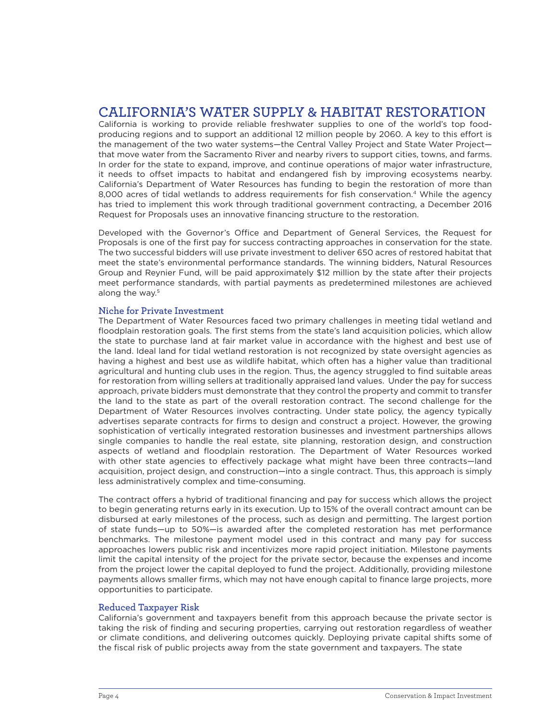## **CALIFORNIA'S WATER SUPPLY & HABITAT RESTORATION**

California is working to provide reliable freshwater supplies to one of the world's top foodproducing regions and to support an additional 12 million people by 2060. A key to this effort is the management of the two water systems—the Central Valley Project and State Water Project that move water from the Sacramento River and nearby rivers to support cities, towns, and farms. In order for the state to expand, improve, and continue operations of major water infrastructure, it needs to offset impacts to habitat and endangered fish by improving ecosystems nearby. California's Department of Water Resources has funding to begin the restoration of more than 8,000 acres of tidal wetlands to address requirements for fish conservation.<sup>4</sup> While the agency has tried to implement this work through traditional government contracting, a December 2016 Request for Proposals uses an innovative financing structure to the restoration.

Developed with the Governor's Office and Department of General Services, the Request for Proposals is one of the first pay for success contracting approaches in conservation for the state. The two successful bidders will use private investment to deliver 650 acres of restored habitat that meet the state's environmental performance standards. The winning bidders, Natural Resources Group and Reynier Fund, will be paid approximately \$12 million by the state after their projects meet performance standards, with partial payments as predetermined milestones are achieved along the way.<sup>5</sup>

#### **Niche for Private Investment**

The Department of Water Resources faced two primary challenges in meeting tidal wetland and floodplain restoration goals. The first stems from the state's land acquisition policies, which allow the state to purchase land at fair market value in accordance with the highest and best use of the land. Ideal land for tidal wetland restoration is not recognized by state oversight agencies as having a highest and best use as wildlife habitat, which often has a higher value than traditional agricultural and hunting club uses in the region. Thus, the agency struggled to find suitable areas for restoration from willing sellers at traditionally appraised land values. Under the pay for success approach, private bidders must demonstrate that they control the property and commit to transfer the land to the state as part of the overall restoration contract. The second challenge for the Department of Water Resources involves contracting. Under state policy, the agency typically advertises separate contracts for firms to design and construct a project. However, the growing sophistication of vertically integrated restoration businesses and investment partnerships allows single companies to handle the real estate, site planning, restoration design, and construction aspects of wetland and floodplain restoration. The Department of Water Resources worked with other state agencies to effectively package what might have been three contracts—land acquisition, project design, and construction—into a single contract. Thus, this approach is simply less administratively complex and time-consuming.

The contract offers a hybrid of traditional financing and pay for success which allows the project to begin generating returns early in its execution. Up to 15% of the overall contract amount can be disbursed at early milestones of the process, such as design and permitting. The largest portion of state funds—up to 50%—is awarded after the completed restoration has met performance benchmarks. The milestone payment model used in this contract and many pay for success approaches lowers public risk and incentivizes more rapid project initiation. Milestone payments limit the capital intensity of the project for the private sector, because the expenses and income from the project lower the capital deployed to fund the project. Additionally, providing milestone payments allows smaller firms, which may not have enough capital to finance large projects, more opportunities to participate.

#### **Reduced Taxpayer Risk**

California's government and taxpayers benefit from this approach because the private sector is taking the risk of finding and securing properties, carrying out restoration regardless of weather or climate conditions, and delivering outcomes quickly. Deploying private capital shifts some of the fiscal risk of public projects away from the state government and taxpayers. The state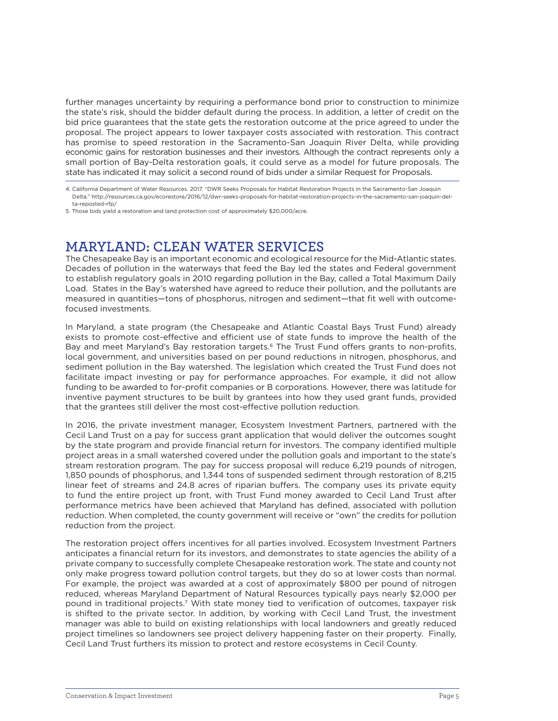further manages uncertainty by requiring a performance bond prior to construction to minimize the state's risk, should the bidder default during the process. In addition, a letter of credit on the bid price guarantees that the state gets the restoration outcome at the price agreed to under the proposal. The project appears to lower taxpayer costs associated with restoration. This contract has promise to speed restoration in the Sacramento-San Joaquin River Delta, while providing economic gains for restoration businesses and their investors. Although the contract represents only a small portion of Bay-Delta restoration goals, it could serve as a model for future proposals. The state has indicated it may solicit a second round of bids under a similar Request for Proposals.

## **MARYLAND: CLEAN WATER SERVICES**

The Chesapeake Bay is an important economic and ecological resource for the Mid-Atlantic states. Decades of pollution in the waterways that feed the Bay led the states and Federal government to establish regulatory goals in 2010 regarding pollution in the Bay, called a Total Maximum Daily Load. States in the Bay's watershed have agreed to reduce their pollution, and the pollutants are measured in quantities—tons of phosphorus, nitrogen and sediment—that fit well with outcomefocused investments.

In Maryland, a state program (the Chesapeake and Atlantic Coastal Bays Trust Fund) already exists to promote cost-effective and efficient use of state funds to improve the health of the Bay and meet Maryland's Bay restoration targets.<sup>6</sup> The Trust Fund offers grants to non-profits, local government, and universities based on per pound reductions in nitrogen, phosphorus, and sediment pollution in the Bay watershed. The legislation which created the Trust Fund does not facilitate impact investing or pay for performance approaches. For example, it did not allow funding to be awarded to for-profit companies or B corporations. However, there was latitude for inventive payment structures to be built by grantees into how they used grant funds, provided that the grantees still deliver the most cost-effective pollution reduction.

In 2016, the private investment manager, Ecosystem Investment Partners, partnered with the Cecil Land Trust on a pay for success grant application that would deliver the outcomes sought by the state program and provide financial return for investors. The company identified multiple project areas in a small watershed covered under the pollution goals and important to the state's stream restoration program. The pay for success proposal will reduce 6,219 pounds of nitrogen, 1,850 pounds of phosphorus, and 1,344 tons of suspended sediment through restoration of 8,215 linear feet of streams and 24.8 acres of riparian buffers. The company uses its private equity to fund the entire project up front, with Trust Fund money awarded to Cecil Land Trust after performance metrics have been achieved that Maryland has defined, associated with pollution reduction. When completed, the county government will receive or "own" the credits for pollution reduction from the project.

The restoration project offers incentives for all parties involved. Ecosystem Investment Partners anticipates a financial return for its investors, and demonstrates to state agencies the ability of a private company to successfully complete Chesapeake restoration work. The state and county not only make progress toward pollution control targets, but they do so at lower costs than normal. For example, the project was awarded at a cost of approximately \$800 per pound of nitrogen reduced, whereas Maryland Department of Natural Resources typically pays nearly \$2,000 per pound in traditional projects.7 With state money tied to verification of outcomes, taxpayer risk is shifted to the private sector. In addition, by working with Cecil Land Trust, the investment manager was able to build on existing relationships with local landowners and greatly reduced project timelines so landowners see project delivery happening faster on their property. Finally, Cecil Land Trust furthers its mission to protect and restore ecosystems in Cecil County.

<sup>4.</sup> California Department of Water Resources. 2017. "DWR Seeks Proposals for Habitat Restoration Projects in the Sacramento-San Joaquin Delta." http://resources.ca.gov/ecorestore/2016/12/dwr-seeks-proposals-for-habitat-restoration-projects-in-the-sacramento-san-joaquin-delta-reposted-rfp/

<sup>5.</sup> Those bids yield a restoration and land protection cost of approximately \$20,000/acre.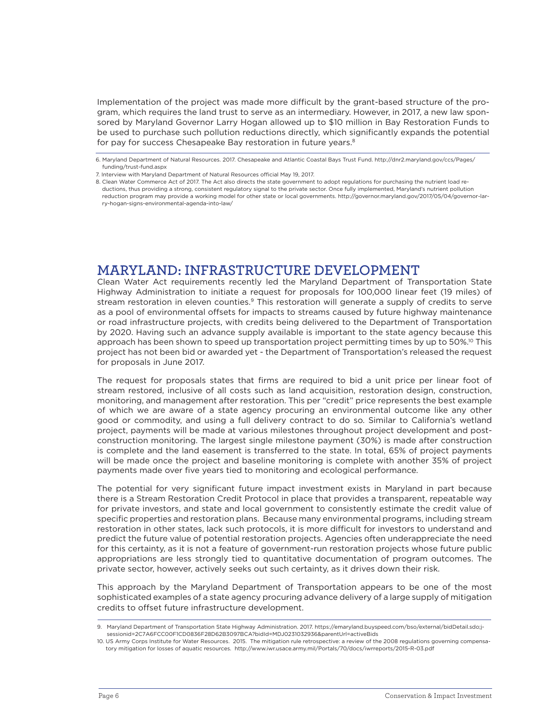Implementation of the project was made more difficult by the grant-based structure of the program, which requires the land trust to serve as an intermediary. However, in 2017, a new law sponsored by Maryland Governor Larry Hogan allowed up to \$10 million in Bay Restoration Funds to be used to purchase such pollution reductions directly, which significantly expands the potential for pay for success Chesapeake Bay restoration in future years.<sup>8</sup>

### **MARYLAND: INFRASTRUCTURE DEVELOPMENT**

Clean Water Act requirements recently led the Maryland Department of Transportation State Highway Administration to initiate a request for proposals for 100,000 linear feet (19 miles) of stream restoration in eleven counties.<sup>9</sup> This restoration will generate a supply of credits to serve as a pool of environmental offsets for impacts to streams caused by future highway maintenance or road infrastructure projects, with credits being delivered to the Department of Transportation by 2020. Having such an advance supply available is important to the state agency because this approach has been shown to speed up transportation project permitting times by up to 50%.<sup>10</sup> This project has not been bid or awarded yet - the Department of Transportation's released the request for proposals in June 2017.

The request for proposals states that firms are required to bid a unit price per linear foot of stream restored, inclusive of all costs such as land acquisition, restoration design, construction, monitoring, and management after restoration. This per "credit" price represents the best example of which we are aware of a state agency procuring an environmental outcome like any other good or commodity, and using a full delivery contract to do so. Similar to California's wetland project, payments will be made at various milestones throughout project development and postconstruction monitoring. The largest single milestone payment (30%) is made after construction is complete and the land easement is transferred to the state. In total, 65% of project payments will be made once the project and baseline monitoring is complete with another 35% of project payments made over five years tied to monitoring and ecological performance.

The potential for very significant future impact investment exists in Maryland in part because there is a Stream Restoration Credit Protocol in place that provides a transparent, repeatable way for private investors, and state and local government to consistently estimate the credit value of specific properties and restoration plans. Because many environmental programs, including stream restoration in other states, lack such protocols, it is more difficult for investors to understand and predict the future value of potential restoration projects. Agencies often underappreciate the need for this certainty, as it is not a feature of government-run restoration projects whose future public appropriations are less strongly tied to quantitative documentation of program outcomes. The private sector, however, actively seeks out such certainty, as it drives down their risk.

This approach by the Maryland Department of Transportation appears to be one of the most sophisticated examples of a state agency procuring advance delivery of a large supply of mitigation credits to offset future infrastructure development.

<sup>6.</sup> Maryland Department of Natural Resources. 2017. Chesapeake and Atlantic Coastal Bays Trust Fund. http://dnr2.maryland.gov/ccs/Pages/ funding/trust-fund.aspx

<sup>7.</sup> Interview with Maryland Department of Natural Resources official May 19, 2017.

<sup>8.</sup> Clean Water Commerce Act of 2017. The Act also directs the state government to adopt regulations for purchasing the nutrient load reductions, thus providing a strong, consistent regulatory signal to the private sector. Once fully implemented, Maryland's nutrient pollution reduction program may provide a working model for other state or local governments. http://governor.maryland.gov/2017/05/04/governor-larry-hogan-signs-environmental-agenda-into-law/

<sup>9.</sup> Maryland Department of Transportation State Highway Administration. 2017. https://emaryland.buyspeed.com/bso/external/bidDetail.sdo;jsessionid=2C7A6FCC00F1CD0836F28D62B3097BCA?bidId=MDJ0231032936&parentUrl=activeBids

<sup>10.</sup> US Army Corps Institute for Water Resources. 2015. The mitigation rule retrospective: a review of the 2008 regulations governing compensatory mitigation for losses of aquatic resources. http://www.iwr.usace.army.mil/Portals/70/docs/iwrreports/2015-R-03.pdf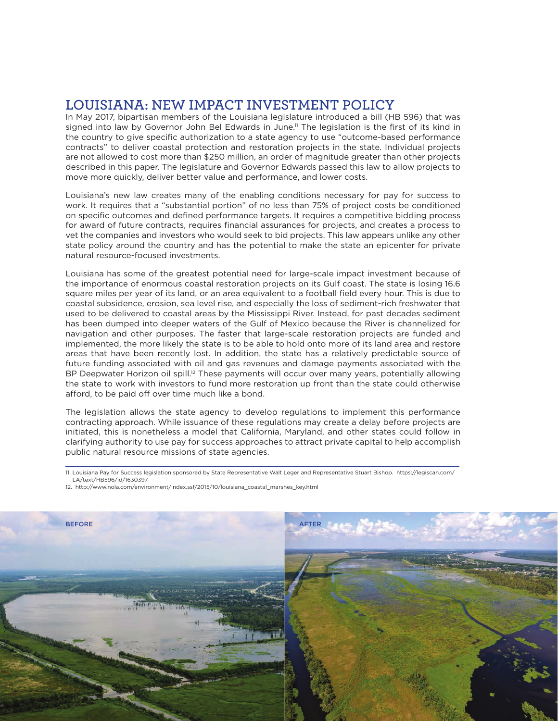## **LOUISIANA: NEW IMPACT INVESTMENT POLICY**

In May 2017, bipartisan members of the Louisiana legislature introduced a bill (HB 596) that was signed into law by Governor John Bel Edwards in June.<sup>11</sup> The legislation is the first of its kind in the country to give specific authorization to a state agency to use "outcome-based performance contracts" to deliver coastal protection and restoration projects in the state. Individual projects are not allowed to cost more than \$250 million, an order of magnitude greater than other projects described in this paper. The legislature and Governor Edwards passed this law to allow projects to move more quickly, deliver better value and performance, and lower costs.

Louisiana's new law creates many of the enabling conditions necessary for pay for success to work. It requires that a "substantial portion" of no less than 75% of project costs be conditioned on specific outcomes and defined performance targets. It requires a competitive bidding process for award of future contracts, requires financial assurances for projects, and creates a process to vet the companies and investors who would seek to bid projects. This law appears unlike any other state policy around the country and has the potential to make the state an epicenter for private natural resource-focused investments.

Louisiana has some of the greatest potential need for large-scale impact investment because of the importance of enormous coastal restoration projects on its Gulf coast. The state is losing 16.6 square miles per year of its land, or an area equivalent to a football field every hour. This is due to coastal subsidence, erosion, sea level rise, and especially the loss of sediment-rich freshwater that used to be delivered to coastal areas by the Mississippi River. Instead, for past decades sediment has been dumped into deeper waters of the Gulf of Mexico because the River is channelized for navigation and other purposes. The faster that large-scale restoration projects are funded and implemented, the more likely the state is to be able to hold onto more of its land area and restore areas that have been recently lost. In addition, the state has a relatively predictable source of future funding associated with oil and gas revenues and damage payments associated with the BP Deepwater Horizon oil spill.<sup>12</sup> These payments will occur over many years, potentially allowing the state to work with investors to fund more restoration up front than the state could otherwise afford, to be paid off over time much like a bond.

The legislation allows the state agency to develop regulations to implement this performance contracting approach. While issuance of these regulations may create a delay before projects are initiated, this is nonetheless a model that California, Maryland, and other states could follow in clarifying authority to use pay for success approaches to attract private capital to help accomplish public natural resource missions of state agencies.

<sup>12.</sup> http://www.nola.com/environment/index.ssf/2015/10/louisiana\_coastal\_marshes\_key.html



<sup>11.</sup> Louisiana Pay for Success legislation sponsored by State Representative Walt Leger and Representative Stuart Bishop. https://legiscan.com/ LA/text/HB596/id/1630397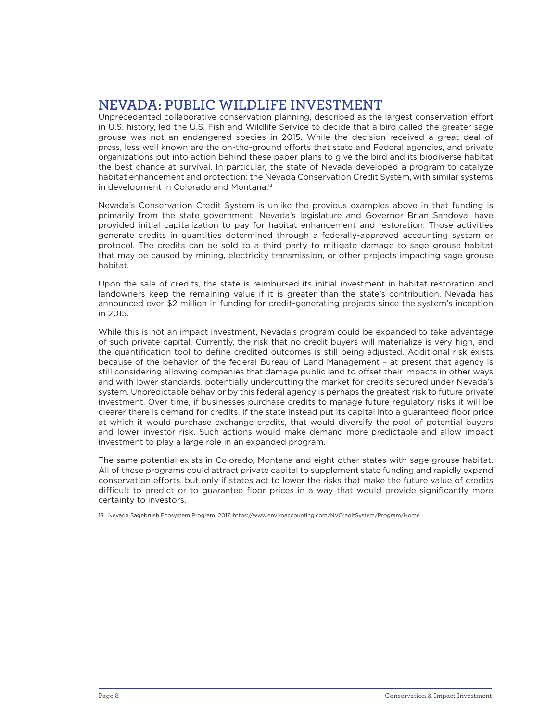## **NEVADA: PUBLIC WILDLIFE INVESTMENT**

Unprecedented collaborative conservation planning, described as the largest conservation effort in U.S. history, led the U.S. Fish and Wildlife Service to decide that a bird called the greater sage grouse was not an endangered species in 2015. While the decision received a great deal of press, less well known are the on-the-ground efforts that state and Federal agencies, and private organizations put into action behind these paper plans to give the bird and its biodiverse habitat the best chance at survival. In particular, the state of Nevada developed a program to catalyze habitat enhancement and protection: the Nevada Conservation Credit System, with similar systems in development in Colorado and Montana.13

Nevada's Conservation Credit System is unlike the previous examples above in that funding is primarily from the state government. Nevada's legislature and Governor Brian Sandoval have provided initial capitalization to pay for habitat enhancement and restoration. Those activities generate credits in quantities determined through a federally-approved accounting system or protocol. The credits can be sold to a third party to mitigate damage to sage grouse habitat that may be caused by mining, electricity transmission, or other projects impacting sage grouse habitat.

Upon the sale of credits, the state is reimbursed its initial investment in habitat restoration and landowners keep the remaining value if it is greater than the state's contribution. Nevada has announced over \$2 million in funding for credit-generating projects since the system's inception in 2015.

While this is not an impact investment, Nevada's program could be expanded to take advantage of such private capital. Currently, the risk that no credit buyers will materialize is very high, and the quantification tool to define credited outcomes is still being adjusted. Additional risk exists because of the behavior of the federal Bureau of Land Management – at present that agency is still considering allowing companies that damage public land to offset their impacts in other ways and with lower standards, potentially undercutting the market for credits secured under Nevada's system. Unpredictable behavior by this federal agency is perhaps the greatest risk to future private investment. Over time, if businesses purchase credits to manage future regulatory risks it will be clearer there is demand for credits. If the state instead put its capital into a guaranteed floor price at which it would purchase exchange credits, that would diversify the pool of potential buyers and lower investor risk. Such actions would make demand more predictable and allow impact investment to play a large role in an expanded program.

The same potential exists in Colorado, Montana and eight other states with sage grouse habitat. All of these programs could attract private capital to supplement state funding and rapidly expand conservation efforts, but only if states act to lower the risks that make the future value of credits difficult to predict or to guarantee floor prices in a way that would provide significantly more certainty to investors.

<sup>13.</sup> Nevada Sagebrush Ecosystem Program. 2017. https://www.enviroaccounting.com/NVCreditSystem/Program/Home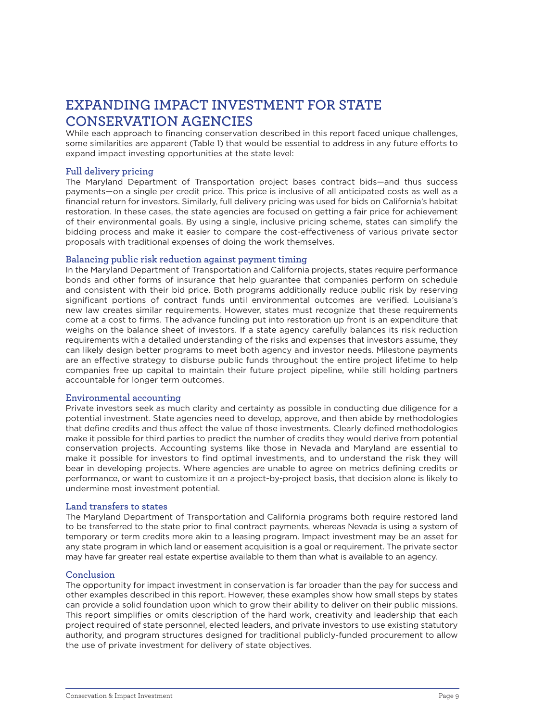## **EXPANDING IMPACT INVESTMENT FOR STATE CONSERVATION AGENCIES**

While each approach to financing conservation described in this report faced unique challenges, some similarities are apparent (Table 1) that would be essential to address in any future efforts to expand impact investing opportunities at the state level:

#### **Full delivery pricing**

The Maryland Department of Transportation project bases contract bids—and thus success payments—on a single per credit price. This price is inclusive of all anticipated costs as well as a financial return for investors. Similarly, full delivery pricing was used for bids on California's habitat restoration. In these cases, the state agencies are focused on getting a fair price for achievement of their environmental goals. By using a single, inclusive pricing scheme, states can simplify the bidding process and make it easier to compare the cost-effectiveness of various private sector proposals with traditional expenses of doing the work themselves.

#### **Balancing public risk reduction against payment timing**

In the Maryland Department of Transportation and California projects, states require performance bonds and other forms of insurance that help guarantee that companies perform on schedule and consistent with their bid price. Both programs additionally reduce public risk by reserving significant portions of contract funds until environmental outcomes are verified. Louisiana's new law creates similar requirements. However, states must recognize that these requirements come at a cost to firms. The advance funding put into restoration up front is an expenditure that weighs on the balance sheet of investors. If a state agency carefully balances its risk reduction requirements with a detailed understanding of the risks and expenses that investors assume, they can likely design better programs to meet both agency and investor needs. Milestone payments are an effective strategy to disburse public funds throughout the entire project lifetime to help companies free up capital to maintain their future project pipeline, while still holding partners accountable for longer term outcomes.

#### **Environmental accounting**

Private investors seek as much clarity and certainty as possible in conducting due diligence for a potential investment. State agencies need to develop, approve, and then abide by methodologies that define credits and thus affect the value of those investments. Clearly defined methodologies make it possible for third parties to predict the number of credits they would derive from potential conservation projects. Accounting systems like those in Nevada and Maryland are essential to make it possible for investors to find optimal investments, and to understand the risk they will bear in developing projects. Where agencies are unable to agree on metrics defining credits or performance, or want to customize it on a project-by-project basis, that decision alone is likely to undermine most investment potential.

#### **Land transfers to states**

The Maryland Department of Transportation and California programs both require restored land to be transferred to the state prior to final contract payments, whereas Nevada is using a system of temporary or term credits more akin to a leasing program. Impact investment may be an asset for any state program in which land or easement acquisition is a goal or requirement. The private sector may have far greater real estate expertise available to them than what is available to an agency.

#### **Conclusion**

The opportunity for impact investment in conservation is far broader than the pay for success and other examples described in this report. However, these examples show how small steps by states can provide a solid foundation upon which to grow their ability to deliver on their public missions. This report simplifies or omits description of the hard work, creativity and leadership that each project required of state personnel, elected leaders, and private investors to use existing statutory authority, and program structures designed for traditional publicly-funded procurement to allow the use of private investment for delivery of state objectives.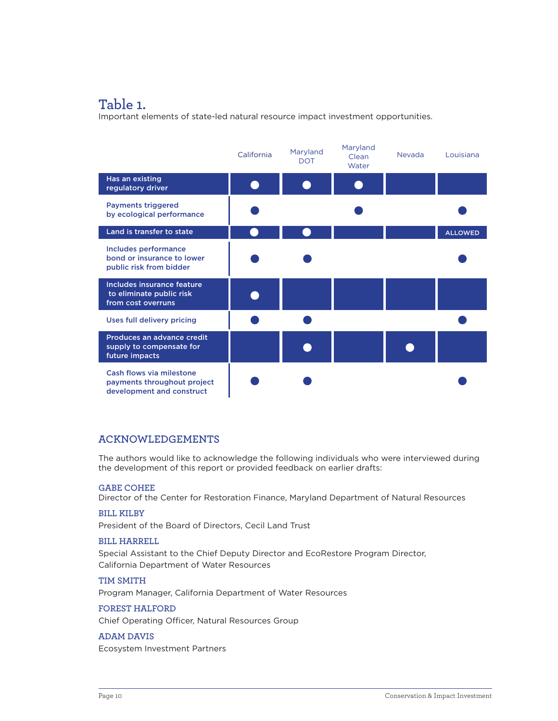## **Table 1.**

Important elements of state-led natural resource impact investment opportunities.

|                                                                                      | California | Maryland<br><b>DOT</b> | Maryland<br>Clean<br>Water | Nevada | Louisiana      |
|--------------------------------------------------------------------------------------|------------|------------------------|----------------------------|--------|----------------|
| Has an existing<br>regulatory driver                                                 |            |                        |                            |        |                |
| <b>Payments triggered</b><br>by ecological performance                               |            |                        |                            |        |                |
| Land is transfer to state                                                            |            |                        |                            |        | <b>ALLOWED</b> |
| Includes performance<br>bond or insurance to lower<br>public risk from bidder        |            |                        |                            |        |                |
| Includes insurance feature<br>to eliminate public risk<br>from cost overruns         |            |                        |                            |        |                |
| Uses full delivery pricing                                                           |            |                        |                            |        |                |
| Produces an advance credit<br>supply to compensate for<br>future impacts             |            |                        |                            |        |                |
| Cash flows via milestone<br>payments throughout project<br>development and construct |            |                        |                            |        |                |

#### **ACKNOWLEDGEMENTS**

The authors would like to acknowledge the following individuals who were interviewed during the development of this report or provided feedback on earlier drafts:

#### **GABE COHEE**

Director of the Center for Restoration Finance, Maryland Department of Natural Resources

#### **BILL KILBY**

President of the Board of Directors, Cecil Land Trust

#### **BILL HARRELL**

Special Assistant to the Chief Deputy Director and EcoRestore Program Director, California Department of Water Resources

#### **TIM SMITH**

Program Manager, California Department of Water Resources

#### **FOREST HALFORD**

Chief Operating Officer, Natural Resources Group

## **ADAM DAVIS**

Ecosystem Investment Partners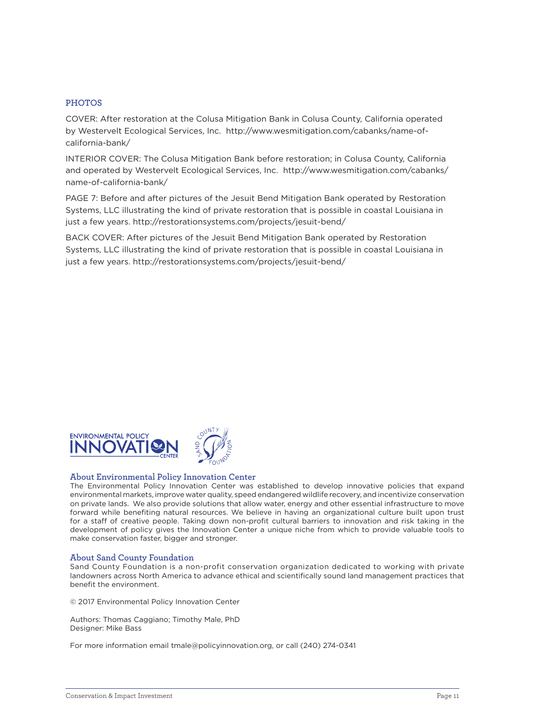#### **PHOTOS**

COVER: After restoration at the Colusa Mitigation Bank in Colusa County, California operated by Westervelt Ecological Services, Inc. http://www.wesmitigation.com/cabanks/name-ofcalifornia-bank/

INTERIOR COVER: The Colusa Mitigation Bank before restoration; in Colusa County, California and operated by Westervelt Ecological Services, Inc. http://www.wesmitigation.com/cabanks/ name-of-california-bank/

PAGE 7: Before and after pictures of the Jesuit Bend Mitigation Bank operated by Restoration Systems, LLC illustrating the kind of private restoration that is possible in coastal Louisiana in just a few years. http://restorationsystems.com/projects/jesuit-bend/

BACK COVER: After pictures of the Jesuit Bend Mitigation Bank operated by Restoration Systems, LLC illustrating the kind of private restoration that is possible in coastal Louisiana in just a few years. http://restorationsystems.com/projects/jesuit-bend/



#### **About Environmental Policy Innovation Center**

The Environmental Policy Innovation Center was established to develop innovative policies that expand environmental markets, improve water quality, speed endangered wildlife recovery, and incentivize conservation on private lands. We also provide solutions that allow water, energy and other essential infrastructure to move forward while benefiting natural resources. We believe in having an organizational culture built upon trust for a staff of creative people. Taking down non-profit cultural barriers to innovation and risk taking in the development of policy gives the Innovation Center a unique niche from which to provide valuable tools to make conservation faster, bigger and stronger.

#### **About Sand County Foundation**

Sand County Foundation is a non-profit conservation organization dedicated to working with private landowners across North America to advance ethical and scientifically sound land management practices that benefit the environment.

© 2017 Environmental Policy Innovation Center

Authors: Thomas Caggiano; Timothy Male, PhD Designer: Mike Bass

For more information email tmale@policyinnovation.org, or call (240) 274-0341